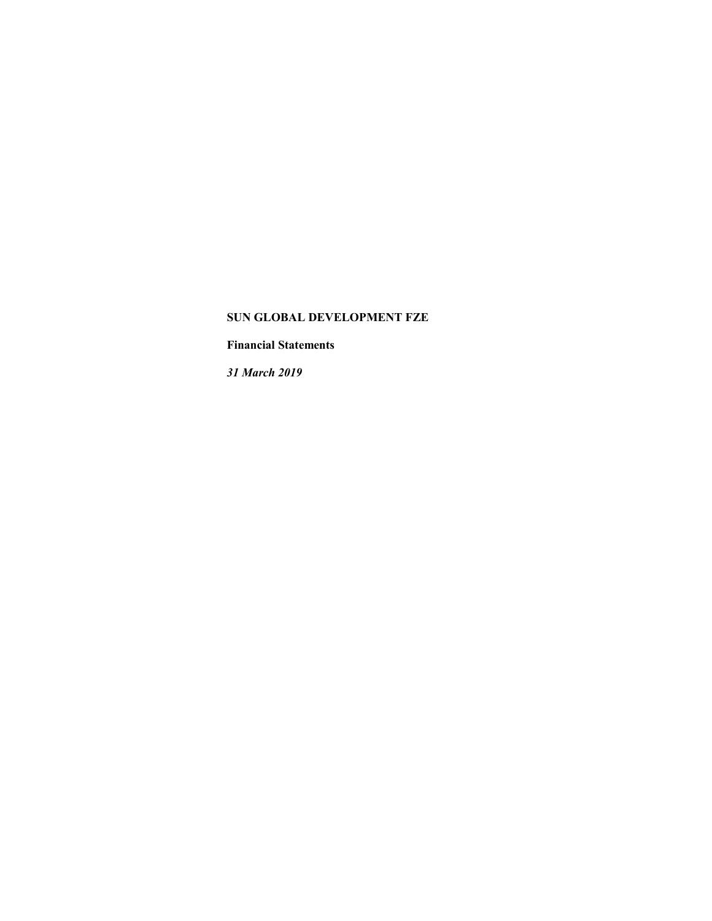**Financial Statements** 

*31 March 2019*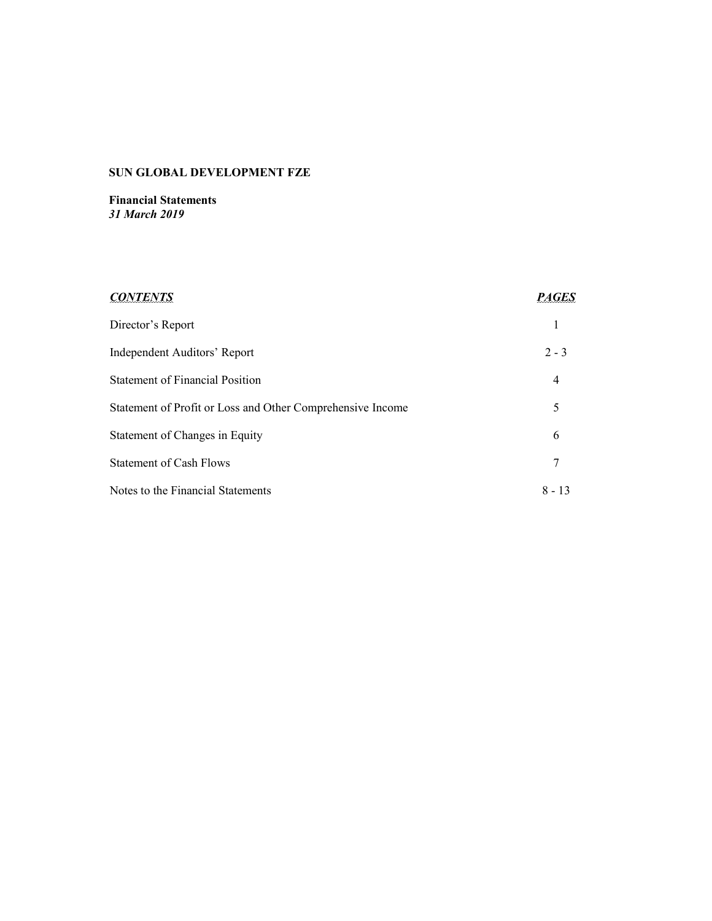**Financial Statements**  *31 March 2019* 

| <b>CONTENTS</b>                                            | <b>PAGES</b> |
|------------------------------------------------------------|--------------|
| Director's Report                                          |              |
| <b>Independent Auditors' Report</b>                        | $2 - 3$      |
| <b>Statement of Financial Position</b>                     | 4            |
| Statement of Profit or Loss and Other Comprehensive Income | 5            |
| Statement of Changes in Equity                             | 6            |
| <b>Statement of Cash Flows</b>                             |              |
| Notes to the Financial Statements                          | $8 - 13$     |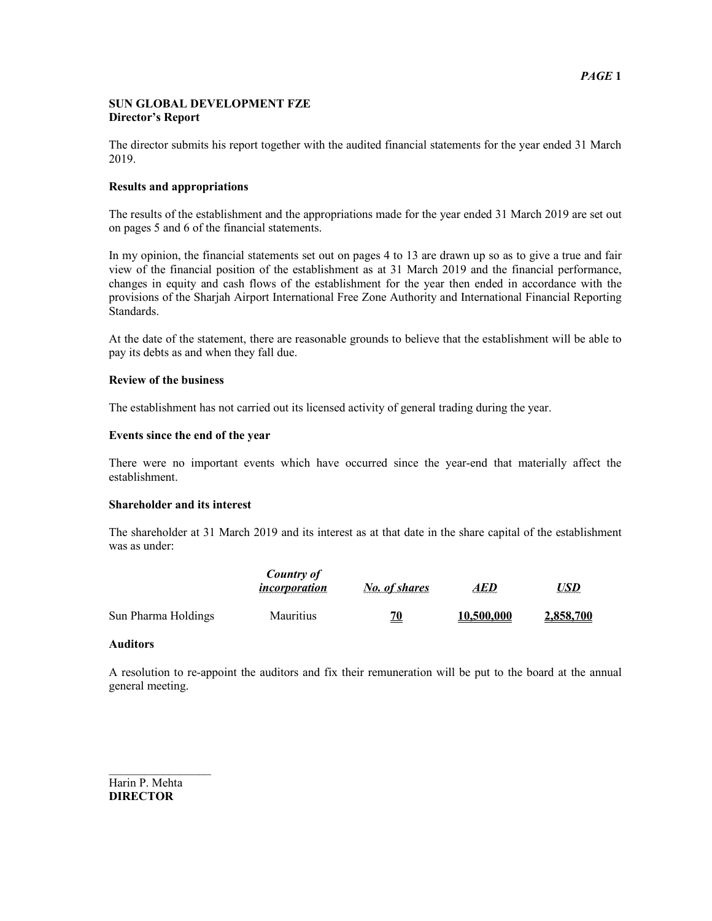### **SUN GLOBAL DEVELOPMENT FZE Director's Report**

The director submits his report together with the audited financial statements for the year ended 31 March 2019.

### **Results and appropriations**

The results of the establishment and the appropriations made for the year ended 31 March 2019 are set out on pages 5 and 6 of the financial statements.

In my opinion, the financial statements set out on pages 4 to 13 are drawn up so as to give a true and fair view of the financial position of the establishment as at 31 March 2019 and the financial performance, changes in equity and cash flows of the establishment for the year then ended in accordance with the provisions of the Sharjah Airport International Free Zone Authority and International Financial Reporting Standards.

At the date of the statement, there are reasonable grounds to believe that the establishment will be able to pay its debts as and when they fall due.

#### **Review of the business**

The establishment has not carried out its licensed activity of general trading during the year.

#### **Events since the end of the year**

There were no important events which have occurred since the year-end that materially affect the establishment.

## **Shareholder and its interest**

The shareholder at 31 March 2019 and its interest as at that date in the share capital of the establishment was as under:

|                     | <b>Country of</b><br><i>incorporation</i> | <b>No. of shares</b> | AED        | <u>USD</u> |
|---------------------|-------------------------------------------|----------------------|------------|------------|
| Sun Pharma Holdings | <b>Mauritius</b>                          | <u>70</u>            | 10.500.000 | 2,858,700  |

#### **Auditors**

A resolution to re-appoint the auditors and fix their remuneration will be put to the board at the annual general meeting.

 $\overline{\phantom{a}}$  , where  $\overline{\phantom{a}}$ Harin P. Mehta **DIRECTOR**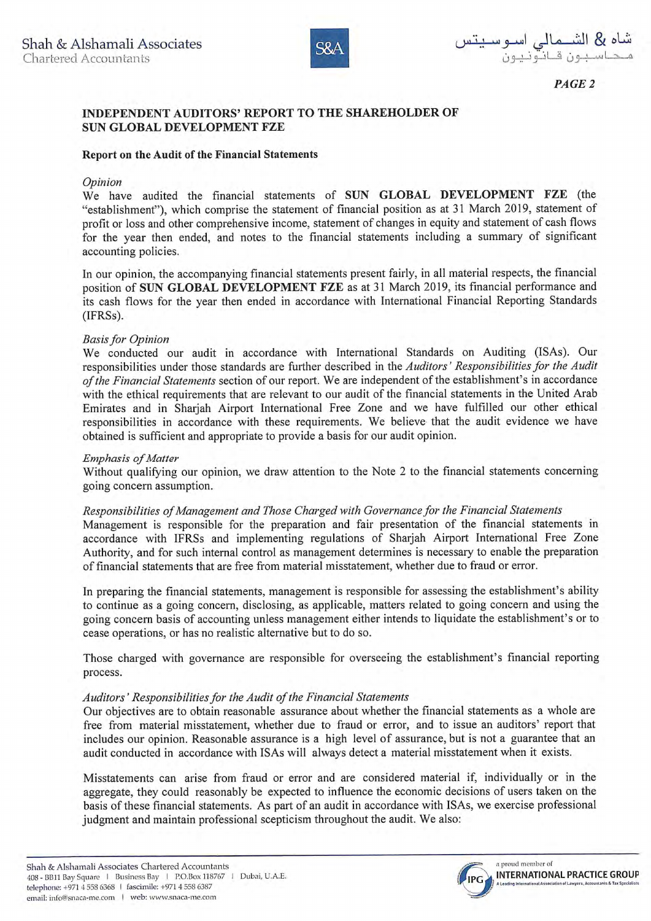

PAGE<sub>2</sub>

## **INDEPENDENT AUDITORS' REPORT TO THE SHAREHOLDER OF SUN GLOBAL DEVELOPMENT FZE**

## Report on the Audit of the Financial Statements

## Opinion

We have audited the financial statements of SUN GLOBAL DEVELOPMENT FZE (the "establishment"), which comprise the statement of financial position as at 31 March 2019, statement of profit or loss and other comprehensive income, statement of changes in equity and statement of cash flows for the year then ended, and notes to the financial statements including a summary of significant accounting policies.

In our opinion, the accompanying financial statements present fairly, in all material respects, the financial position of SUN GLOBAL DEVELOPMENT FZE as at 31 March 2019, its financial performance and its cash flows for the year then ended in accordance with International Financial Reporting Standards  $(IFRSs).$ 

## **Basis for Opinion**

We conducted our audit in accordance with International Standards on Auditing (ISAs). Our responsibilities under those standards are further described in the Auditors' Responsibilities for the Audit of the Financial Statements section of our report. We are independent of the establishment's in accordance with the ethical requirements that are relevant to our audit of the financial statements in the United Arab Emirates and in Sharjah Airport International Free Zone and we have fulfilled our other ethical responsibilities in accordance with these requirements. We believe that the audit evidence we have obtained is sufficient and appropriate to provide a basis for our audit opinion.

## **Emphasis of Matter**

Without qualifying our opinion, we draw attention to the Note 2 to the financial statements concerning going concern assumption.

## Responsibilities of Management and Those Charged with Governance for the Financial Statements

Management is responsible for the preparation and fair presentation of the financial statements in accordance with IFRSs and implementing regulations of Sharjah Airport International Free Zone Authority, and for such internal control as management determines is necessary to enable the preparation of financial statements that are free from material misstatement, whether due to fraud or error.

In preparing the financial statements, management is responsible for assessing the establishment's ability to continue as a going concern, disclosing, as applicable, matters related to going concern and using the going concern basis of accounting unless management either intends to liquidate the establishment's or to cease operations, or has no realistic alternative but to do so.

Those charged with governance are responsible for overseeing the establishment's financial reporting process.

## Auditors' Responsibilities for the Audit of the Financial Statements

Our objectives are to obtain reasonable assurance about whether the financial statements as a whole are free from material misstatement, whether due to fraud or error, and to issue an auditors' report that includes our opinion. Reasonable assurance is a high level of assurance, but is not a guarantee that an audit conducted in accordance with ISAs will always detect a material misstatement when it exists.

Misstatements can arise from fraud or error and are considered material if, individually or in the aggregate, they could reasonably be expected to influence the economic decisions of users taken on the basis of these financial statements. As part of an audit in accordance with ISAs, we exercise professional judgment and maintain professional scepticism throughout the audit. We also:

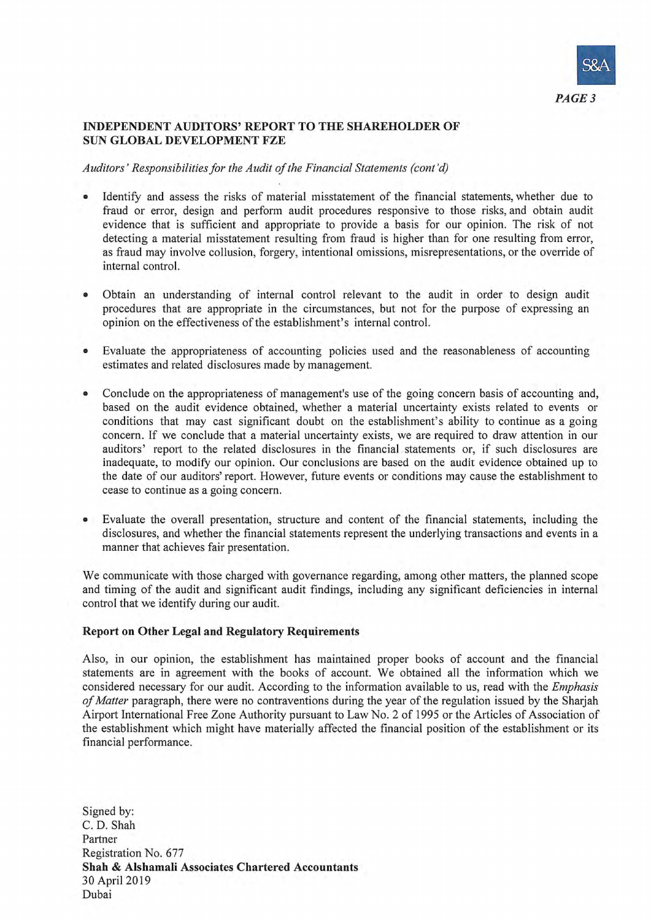

## **INDEPENDENT AUDITORS' REPORT TO THE SHAREHOLDER OF SUN GLOBAL DEVELOPMENT FZE**

## Auditors' Responsibilities for the Audit of the Financial Statements (cont'd)

- Identify and assess the risks of material misstatement of the financial statements, whether due to fraud or error, design and perform audit procedures responsive to those risks, and obtain audit evidence that is sufficient and appropriate to provide a basis for our opinion. The risk of not detecting a material misstatement resulting from fraud is higher than for one resulting from error, as fraud may involve collusion, forgery, intentional omissions, misrepresentations, or the override of internal control.
- Obtain an understanding of internal control relevant to the audit in order to design audit  $\bullet$ procedures that are appropriate in the circumstances, but not for the purpose of expressing an opinion on the effectiveness of the establishment's internal control.
- Evaluate the appropriateness of accounting policies used and the reasonableness of accounting  $\bullet$ estimates and related disclosures made by management.
- Conclude on the appropriateness of management's use of the going concern basis of accounting and,  $\bullet$ based on the audit evidence obtained, whether a material uncertainty exists related to events or conditions that may cast significant doubt on the establishment's ability to continue as a going concern. If we conclude that a material uncertainty exists, we are required to draw attention in our auditors' report to the related disclosures in the financial statements or, if such disclosures are inadequate, to modify our opinion. Our conclusions are based on the audit evidence obtained up to the date of our auditors' report. However, future events or conditions may cause the establishment to cease to continue as a going concern.
- Evaluate the overall presentation, structure and content of the financial statements, including the disclosures, and whether the financial statements represent the underlying transactions and events in a manner that achieves fair presentation.

We communicate with those charged with governance regarding, among other matters, the planned scope and timing of the audit and significant audit findings, including any significant deficiencies in internal control that we identify during our audit.

## **Report on Other Legal and Regulatory Requirements**

Also, in our opinion, the establishment has maintained proper books of account and the financial statements are in agreement with the books of account. We obtained all the information which we considered necessary for our audit. According to the information available to us, read with the *Emphasis* of Matter paragraph, there were no contraventions during the year of the regulation issued by the Sharjah Airport International Free Zone Authority pursuant to Law No. 2 of 1995 or the Articles of Association of the establishment which might have materially affected the financial position of the establishment or its financial performance.

Signed by: C. D. Shah Partner Registration No. 677 Shah & Alshamali Associates Chartered Accountants 30 April 2019 Dubai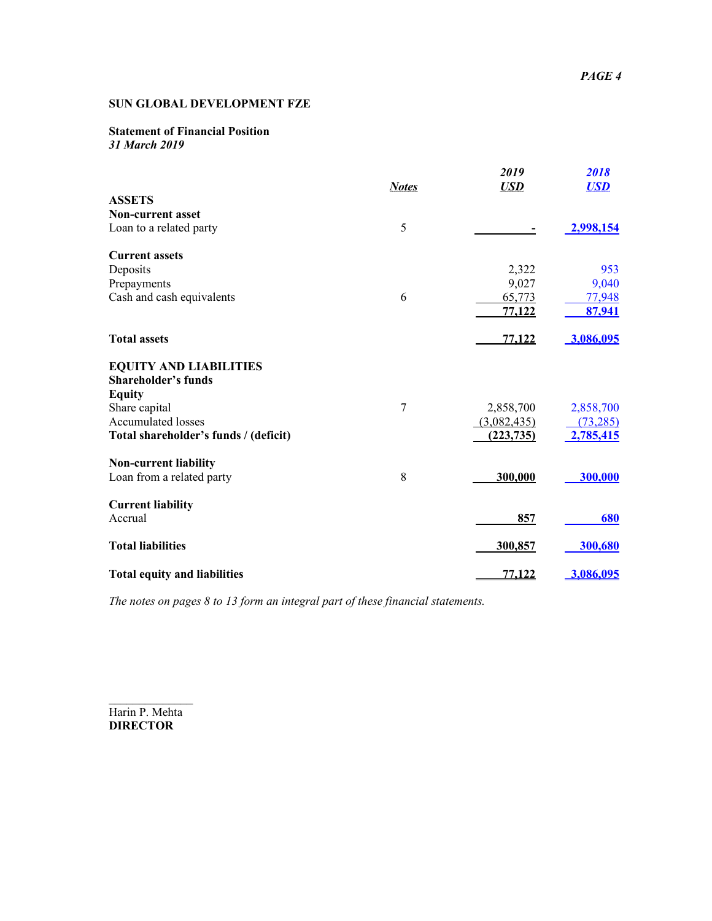## **Statement of Financial Position**  *31 March 2019*

|                                       |              | 2019        | 2018       |
|---------------------------------------|--------------|-------------|------------|
|                                       | <b>Notes</b> | <b>USD</b>  | <b>USD</b> |
| <b>ASSETS</b>                         |              |             |            |
| <b>Non-current asset</b>              |              |             |            |
| Loan to a related party               | 5            |             | 2,998,154  |
| <b>Current assets</b>                 |              |             |            |
| Deposits                              |              | 2,322       | 953        |
| Prepayments                           |              | 9,027       | 9,040      |
| Cash and cash equivalents             | 6            | 65,773      | 77,948     |
|                                       |              | 77,122      | 87,941     |
| <b>Total assets</b>                   |              | 77,122      | 3,086,095  |
| <b>EQUITY AND LIABILITIES</b>         |              |             |            |
| Shareholder's funds                   |              |             |            |
| <b>Equity</b>                         |              |             |            |
| Share capital                         | 7            | 2,858,700   | 2,858,700  |
| <b>Accumulated losses</b>             |              | (3,082,435) | (73, 285)  |
| Total shareholder's funds / (deficit) |              | (223, 735)  | 2,785,415  |
| <b>Non-current liability</b>          |              |             |            |
| Loan from a related party             | 8            | 300,000     | 300,000    |
| <b>Current liability</b>              |              |             |            |
| Accrual                               |              | 857         | 680        |
| <b>Total liabilities</b>              |              | 300,857     | 300,680    |
| <b>Total equity and liabilities</b>   |              | 77,122      | 3,086,095  |

*The notes on pages 8 to 13 form an integral part of these financial statements.*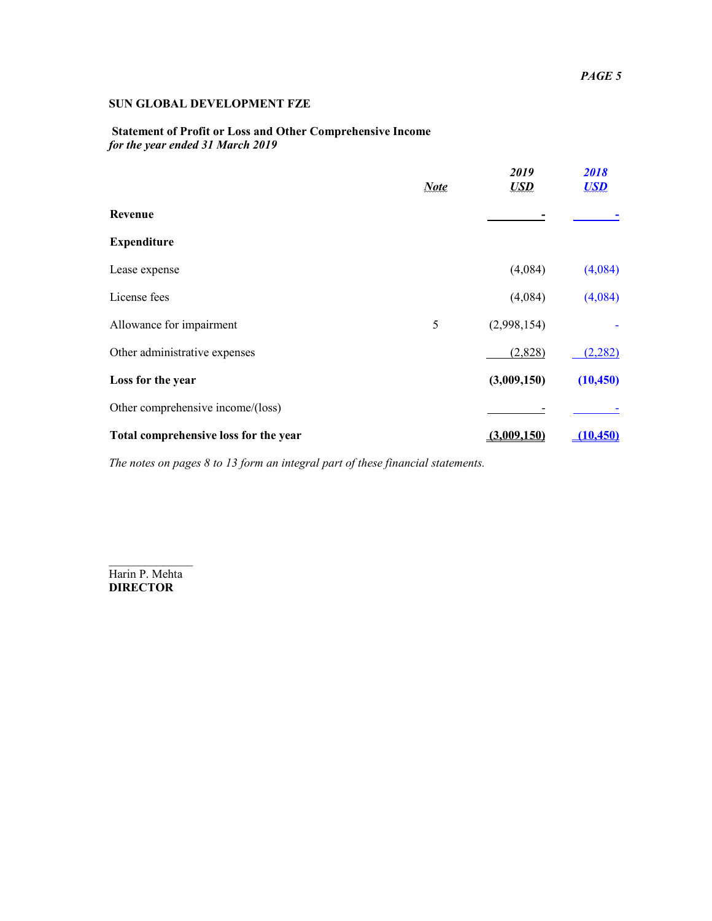## **Statement of Profit or Loss and Other Comprehensive Income**  *for the year ended 31 March 2019*

|                                       | <b>Note</b> | 2019<br>$\overline{LSD}$ | 2018<br><b>USD</b> |
|---------------------------------------|-------------|--------------------------|--------------------|
| Revenue                               |             |                          |                    |
| <b>Expenditure</b>                    |             |                          |                    |
| Lease expense                         |             | (4,084)                  | (4,084)            |
| License fees                          |             | (4,084)                  | (4,084)            |
| Allowance for impairment              | 5           | (2,998,154)              |                    |
| Other administrative expenses         |             | (2,828)                  | (2,282)            |
| Loss for the year                     |             | (3,009,150)              | (10, 450)          |
| Other comprehensive income/(loss)     |             |                          |                    |
| Total comprehensive loss for the year |             | (3.009.150)              | (10.450)           |

*The notes on pages 8 to 13 form an integral part of these financial statements.*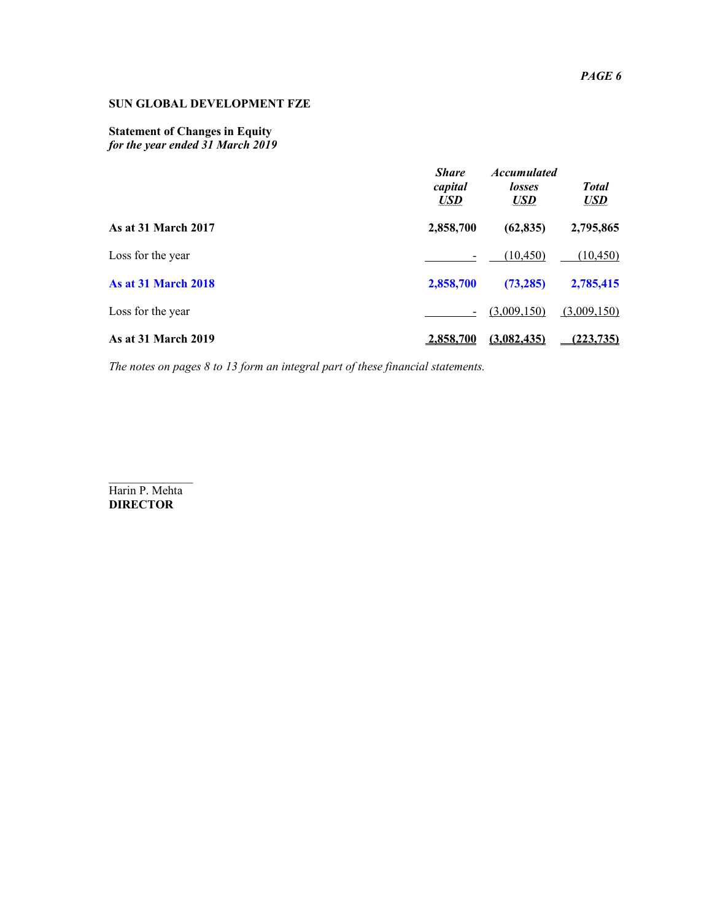## **Statement of Changes in Equity**  *for the year ended 31 March 2019*

|                            | <b>Share</b><br>capital<br><b>USD</b> | <b>Accumulated</b><br>losses<br><b>USD</b> | <b>Total</b><br>$\boldsymbol{LSD}$ |
|----------------------------|---------------------------------------|--------------------------------------------|------------------------------------|
| As at 31 March 2017        | 2,858,700                             | (62, 835)                                  | 2,795,865                          |
| Loss for the year          |                                       | (10, 450)                                  | (10, 450)                          |
| <b>As at 31 March 2018</b> | 2,858,700                             | (73, 285)                                  | 2,785,415                          |
| Loss for the year          |                                       | (3,009,150)                                | (3,009,150)                        |
| As at 31 March 2019        | <b>2.858.700</b>                      | (3.082.435)                                | <u>(223.735)</u>                   |

*The notes on pages 8 to 13 form an integral part of these financial statements.*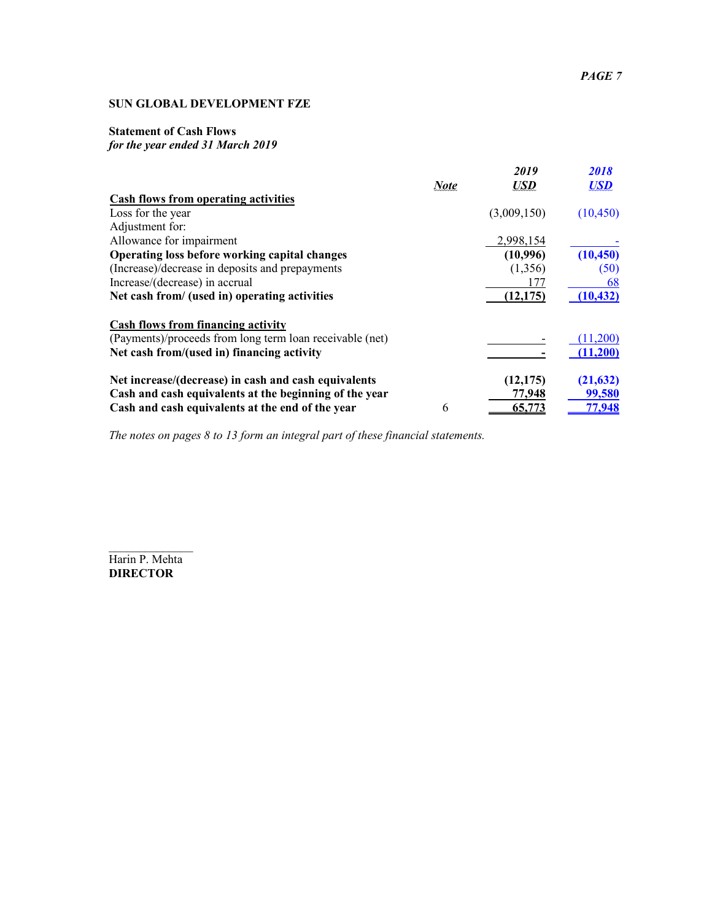# **Statement of Cash Flows**

# *for the year ended 31 March 2019*

|                                                          |             | 2019        | 2018       |
|----------------------------------------------------------|-------------|-------------|------------|
|                                                          | <b>Note</b> | <b>USD</b>  | <b>USD</b> |
| <b>Cash flows from operating activities</b>              |             |             |            |
| Loss for the year                                        |             | (3,009,150) | (10, 450)  |
| Adjustment for:                                          |             |             |            |
| Allowance for impairment                                 |             | 2,998,154   |            |
| Operating loss before working capital changes            |             | (10,996)    | (10, 450)  |
| (Increase)/decrease in deposits and prepayments          |             | (1,356)     | (50)       |
| Increase/(decrease) in accrual                           |             | 177         | 68         |
| Net cash from/ (used in) operating activities            |             | (12, 175)   | (10, 432)  |
| <b>Cash flows from financing activity</b>                |             |             |            |
| (Payments)/proceeds from long term loan receivable (net) |             |             | (11,200)   |
| Net cash from/(used in) financing activity               |             |             | (11,200)   |
| Net increase/(decrease) in cash and cash equivalents     |             | (12, 175)   | (21, 632)  |
| Cash and cash equivalents at the beginning of the year   |             | 77,948      | 99,580     |
| Cash and cash equivalents at the end of the year         | 6           | 65,773      | 77,948     |

*The notes on pages 8 to 13 form an integral part of these financial statements.*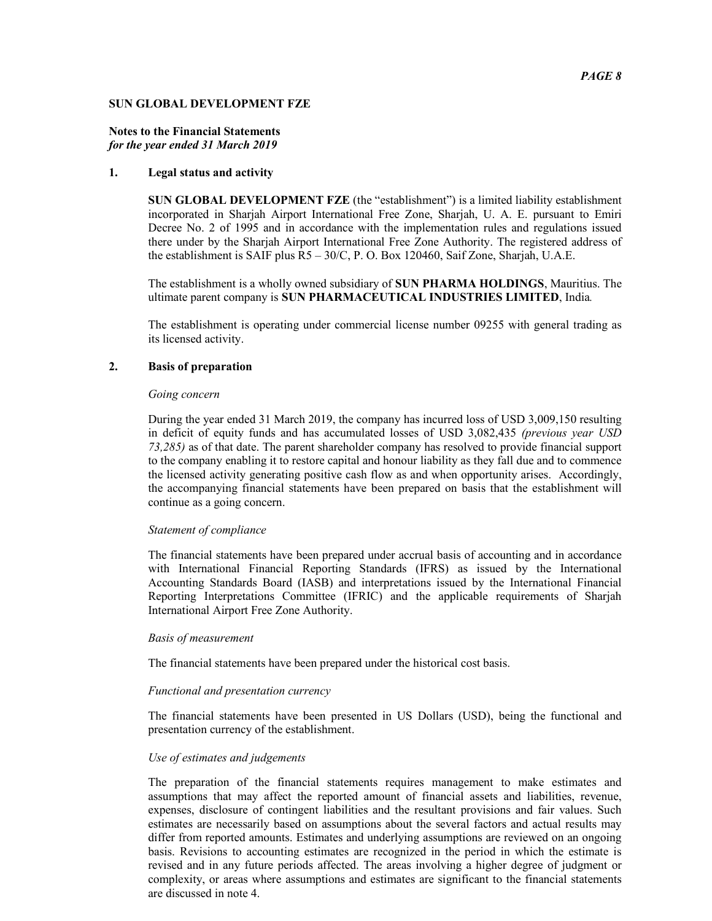### **Notes to the Financial Statements**  *for the year ended 31 March 2019*

### **1. Legal status and activity**

**SUN GLOBAL DEVELOPMENT FZE** (the "establishment") is a limited liability establishment incorporated in Sharjah Airport International Free Zone, Sharjah, U. A. E. pursuant to Emiri Decree No. 2 of 1995 and in accordance with the implementation rules and regulations issued there under by the Sharjah Airport International Free Zone Authority. The registered address of the establishment is SAIF plus R5 – 30/C, P. O. Box 120460, Saif Zone, Sharjah, U.A.E.

The establishment is a wholly owned subsidiary of **SUN PHARMA HOLDINGS**, Mauritius. The ultimate parent company is **SUN PHARMACEUTICAL INDUSTRIES LIMITED**, India*.*

The establishment is operating under commercial license number 09255 with general trading as its licensed activity.

#### **2. Basis of preparation**

#### *Going concern*

During the year ended 31 March 2019, the company has incurred loss of USD 3,009,150 resulting in deficit of equity funds and has accumulated losses of USD 3,082,435 *(previous year USD 73,285)* as of that date. The parent shareholder company has resolved to provide financial support to the company enabling it to restore capital and honour liability as they fall due and to commence the licensed activity generating positive cash flow as and when opportunity arises. Accordingly, the accompanying financial statements have been prepared on basis that the establishment will continue as a going concern.

#### *Statement of compliance*

The financial statements have been prepared under accrual basis of accounting and in accordance with International Financial Reporting Standards (IFRS) as issued by the International Accounting Standards Board (IASB) and interpretations issued by the International Financial Reporting Interpretations Committee (IFRIC) and the applicable requirements of Sharjah International Airport Free Zone Authority.

#### *Basis of measurement*

The financial statements have been prepared under the historical cost basis.

#### *Functional and presentation currency*

The financial statements have been presented in US Dollars (USD), being the functional and presentation currency of the establishment.

#### *Use of estimates and judgements*

The preparation of the financial statements requires management to make estimates and assumptions that may affect the reported amount of financial assets and liabilities, revenue, expenses, disclosure of contingent liabilities and the resultant provisions and fair values. Such estimates are necessarily based on assumptions about the several factors and actual results may differ from reported amounts. Estimates and underlying assumptions are reviewed on an ongoing basis. Revisions to accounting estimates are recognized in the period in which the estimate is revised and in any future periods affected. The areas involving a higher degree of judgment or complexity, or areas where assumptions and estimates are significant to the financial statements are discussed in note 4.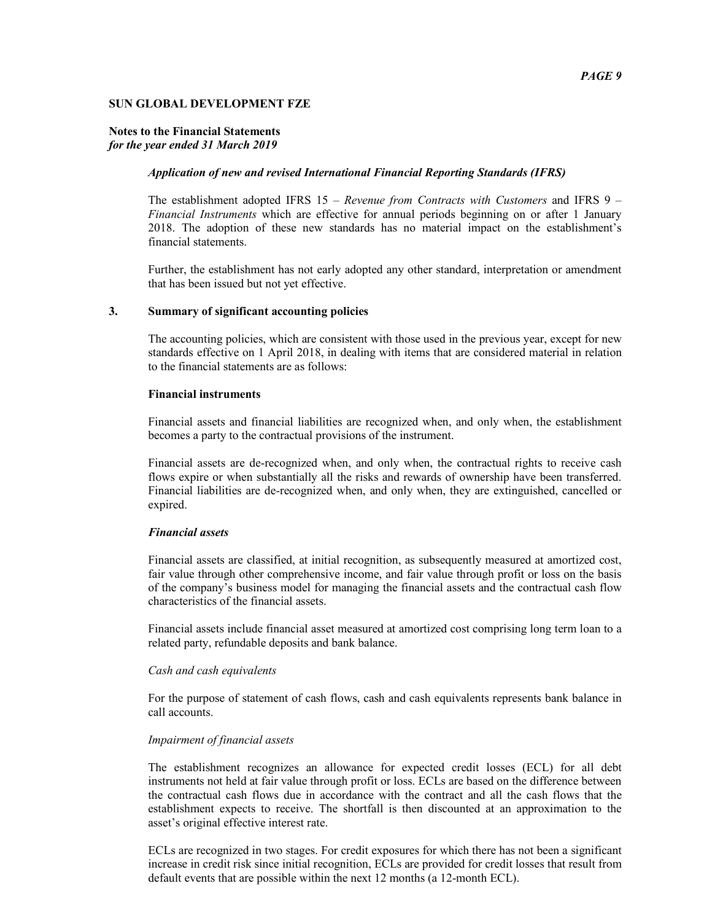### **Notes to the Financial Statements**  *for the year ended 31 March 2019*

### *Application of new and revised International Financial Reporting Standards (IFRS)*

The establishment adopted IFRS 15 – *Revenue from Contracts with Customers* and IFRS 9 – *Financial Instruments* which are effective for annual periods beginning on or after 1 January 2018. The adoption of these new standards has no material impact on the establishment's financial statements.

Further, the establishment has not early adopted any other standard, interpretation or amendment that has been issued but not yet effective.

### **3. Summary of significant accounting policies**

The accounting policies, which are consistent with those used in the previous year, except for new standards effective on 1 April 2018, in dealing with items that are considered material in relation to the financial statements are as follows:

#### **Financial instruments**

Financial assets and financial liabilities are recognized when, and only when, the establishment becomes a party to the contractual provisions of the instrument.

Financial assets are de-recognized when, and only when, the contractual rights to receive cash flows expire or when substantially all the risks and rewards of ownership have been transferred. Financial liabilities are de-recognized when, and only when, they are extinguished, cancelled or expired.

### *Financial assets*

Financial assets are classified, at initial recognition, as subsequently measured at amortized cost, fair value through other comprehensive income, and fair value through profit or loss on the basis of the company's business model for managing the financial assets and the contractual cash flow characteristics of the financial assets.

Financial assets include financial asset measured at amortized cost comprising long term loan to a related party, refundable deposits and bank balance.

#### *Cash and cash equivalents*

For the purpose of statement of cash flows, cash and cash equivalents represents bank balance in call accounts.

#### *Impairment of financial assets*

The establishment recognizes an allowance for expected credit losses (ECL) for all debt instruments not held at fair value through profit or loss. ECLs are based on the difference between the contractual cash flows due in accordance with the contract and all the cash flows that the establishment expects to receive. The shortfall is then discounted at an approximation to the asset's original effective interest rate.

ECLs are recognized in two stages. For credit exposures for which there has not been a significant increase in credit risk since initial recognition, ECLs are provided for credit losses that result from default events that are possible within the next 12 months (a 12-month ECL).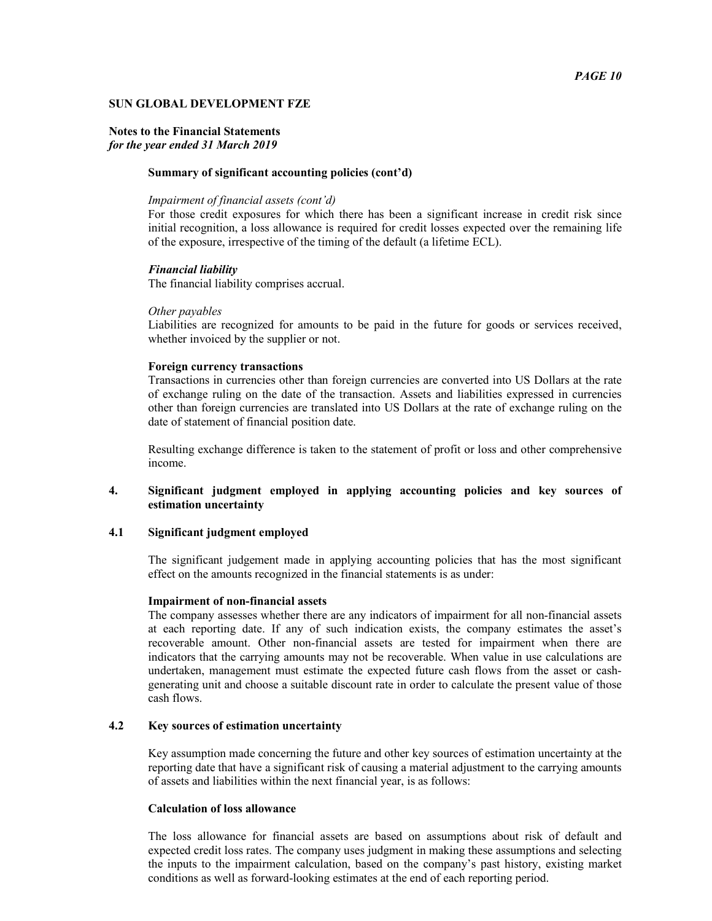## **Notes to the Financial Statements**  *for the year ended 31 March 2019*

### **Summary of significant accounting policies (cont'd)**

#### *Impairment of financial assets (cont'd)*

For those credit exposures for which there has been a significant increase in credit risk since initial recognition, a loss allowance is required for credit losses expected over the remaining life of the exposure, irrespective of the timing of the default (a lifetime ECL).

### *Financial liability*

The financial liability comprises accrual.

#### *Other payables*

Liabilities are recognized for amounts to be paid in the future for goods or services received, whether invoiced by the supplier or not.

#### **Foreign currency transactions**

Transactions in currencies other than foreign currencies are converted into US Dollars at the rate of exchange ruling on the date of the transaction. Assets and liabilities expressed in currencies other than foreign currencies are translated into US Dollars at the rate of exchange ruling on the date of statement of financial position date.

Resulting exchange difference is taken to the statement of profit or loss and other comprehensive income.

## **4. Significant judgment employed in applying accounting policies and key sources of estimation uncertainty**

### **4.1 Significant judgment employed**

The significant judgement made in applying accounting policies that has the most significant effect on the amounts recognized in the financial statements is as under:

#### **Impairment of non-financial assets**

The company assesses whether there are any indicators of impairment for all non-financial assets at each reporting date. If any of such indication exists, the company estimates the asset's recoverable amount. Other non-financial assets are tested for impairment when there are indicators that the carrying amounts may not be recoverable. When value in use calculations are undertaken, management must estimate the expected future cash flows from the asset or cashgenerating unit and choose a suitable discount rate in order to calculate the present value of those cash flows.

### **4.2 Key sources of estimation uncertainty**

Key assumption made concerning the future and other key sources of estimation uncertainty at the reporting date that have a significant risk of causing a material adjustment to the carrying amounts of assets and liabilities within the next financial year, is as follows:

#### **Calculation of loss allowance**

The loss allowance for financial assets are based on assumptions about risk of default and expected credit loss rates. The company uses judgment in making these assumptions and selecting the inputs to the impairment calculation, based on the company's past history, existing market conditions as well as forward-looking estimates at the end of each reporting period.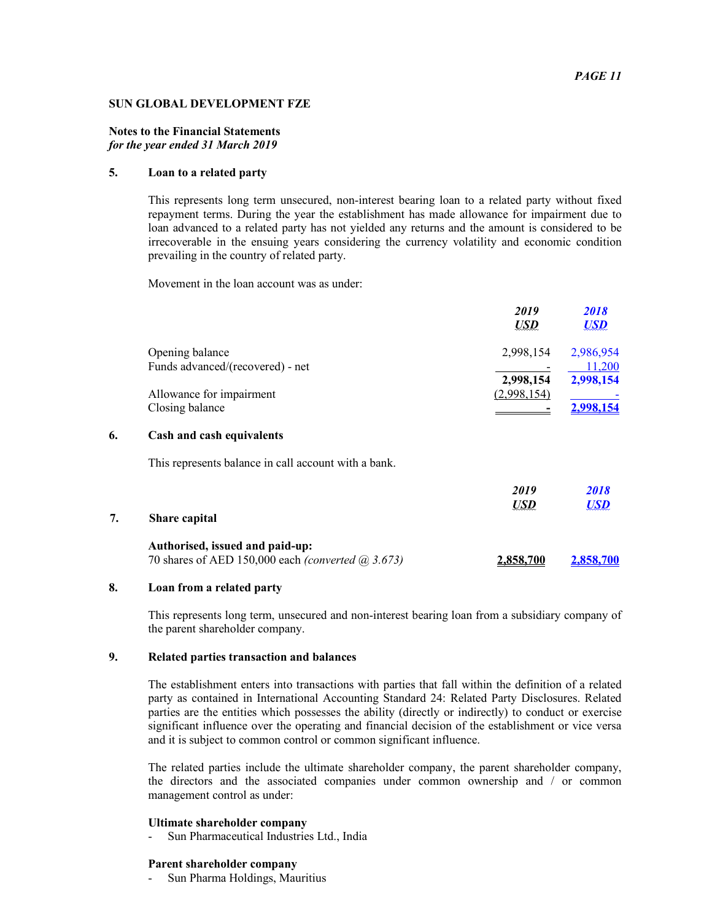### *PAGE 11*

#### **SUN GLOBAL DEVELOPMENT FZE**

## **Notes to the Financial Statements**  *for the year ended 31 March 2019*

## **5. Loan to a related party**

This represents long term unsecured, non-interest bearing loan to a related party without fixed repayment terms. During the year the establishment has made allowance for impairment due to loan advanced to a related party has not yielded any returns and the amount is considered to be irrecoverable in the ensuing years considering the currency volatility and economic condition prevailing in the country of related party.

Movement in the loan account was as under:

|    |                                                       | 2019        | 2018       |
|----|-------------------------------------------------------|-------------|------------|
|    |                                                       | <u>USD</u>  | <b>USD</b> |
|    | Opening balance                                       | 2,998,154   | 2,986,954  |
|    | Funds advanced/(recovered) - net                      |             | 11,200     |
|    |                                                       | 2,998,154   | 2,998,154  |
|    | Allowance for impairment                              | (2,998,154) |            |
|    | Closing balance                                       |             | 2,998,154  |
| 6. | Cash and cash equivalents                             |             |            |
|    | This represents balance in call account with a bank.  |             |            |
|    |                                                       | 2019        | 2018       |
|    |                                                       | <b>USD</b>  | <b>USD</b> |
| 7. | Share capital                                         |             |            |
|    | Authorised, issued and paid-up:                       |             |            |
|    | 70 shares of AED 150,000 each (converted $(a)$ 3.673) | 2,858,700   | 2,858,700  |

#### **8. Loan from a related party**

This represents long term, unsecured and non-interest bearing loan from a subsidiary company of the parent shareholder company.

#### **9. Related parties transaction and balances**

The establishment enters into transactions with parties that fall within the definition of a related party as contained in International Accounting Standard 24: Related Party Disclosures. Related parties are the entities which possesses the ability (directly or indirectly) to conduct or exercise significant influence over the operating and financial decision of the establishment or vice versa and it is subject to common control or common significant influence.

The related parties include the ultimate shareholder company, the parent shareholder company, the directors and the associated companies under common ownership and / or common management control as under:

#### **Ultimate shareholder company**

Sun Pharmaceutical Industries Ltd., India

#### **Parent shareholder company**

- Sun Pharma Holdings, Mauritius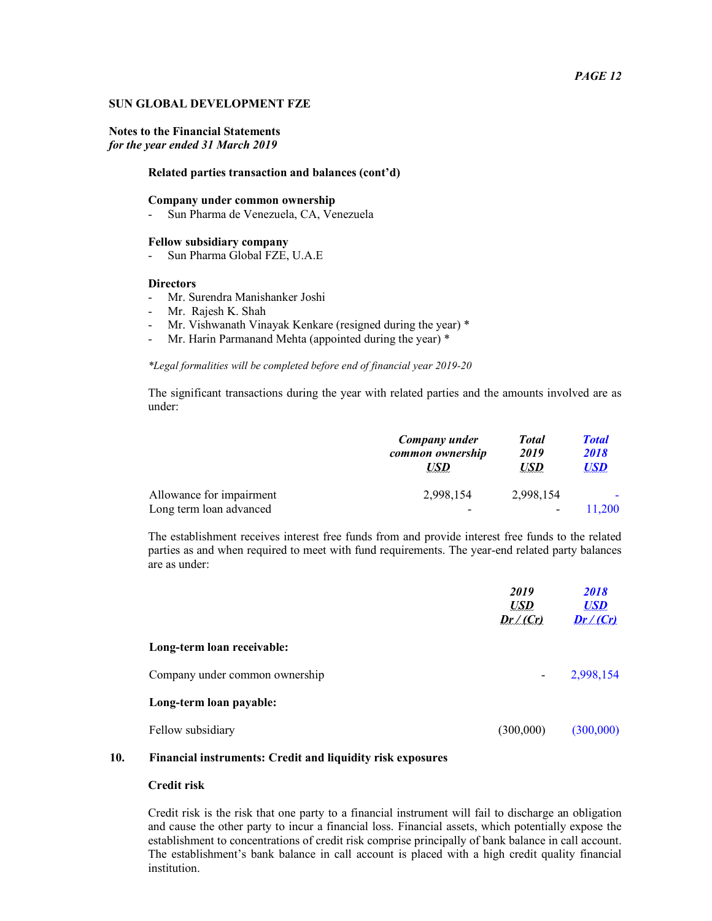## **Notes to the Financial Statements**  *for the year ended 31 March 2019*

#### **Related parties transaction and balances (cont'd)**

## **Company under common ownership**

- Sun Pharma de Venezuela, CA, Venezuela

#### **Fellow subsidiary company**

- Sun Pharma Global FZE, U.A.E

#### **Directors**

- Mr. Surendra Manishanker Joshi
- Mr. Rajesh K. Shah
- Mr. Vishwanath Vinayak Kenkare (resigned during the year) \*
- Mr. Harin Parmanand Mehta (appointed during the year) \*

*\*Legal formalities will be completed before end of financial year 2019-20* 

The significant transactions during the year with related parties and the amounts involved are as under:

|                                                     | Company under                         | <b>Total</b> | <b>Total</b> |
|-----------------------------------------------------|---------------------------------------|--------------|--------------|
|                                                     | common ownership                      | 2019         | 2018         |
|                                                     | USD.                                  | USD.         | <u>USD</u>   |
| Allowance for impairment<br>Long term loan advanced | 2.998.154<br>$\overline{\phantom{0}}$ | 2,998,154    | 11.200       |

The establishment receives interest free funds from and provide interest free funds to the related parties as and when required to meet with fund requirements. The year-end related party balances are as under:

|                                | 2019<br><u>USD</u><br>$\mathbb{R}/\mathbb{R}$ | 2018<br><b>USD</b><br>$\mathbf{p}_r$ (Cr) |
|--------------------------------|-----------------------------------------------|-------------------------------------------|
| Long-term loan receivable:     |                                               |                                           |
| Company under common ownership | $\qquad \qquad \blacksquare$                  | 2,998,154                                 |
| Long-term loan payable:        |                                               |                                           |
| Fellow subsidiary              | (300,000)                                     | (300,000)                                 |

## **10. Financial instruments: Credit and liquidity risk exposures**

#### **Credit risk**

Credit risk is the risk that one party to a financial instrument will fail to discharge an obligation and cause the other party to incur a financial loss. Financial assets, which potentially expose the establishment to concentrations of credit risk comprise principally of bank balance in call account. The establishment's bank balance in call account is placed with a high credit quality financial institution.